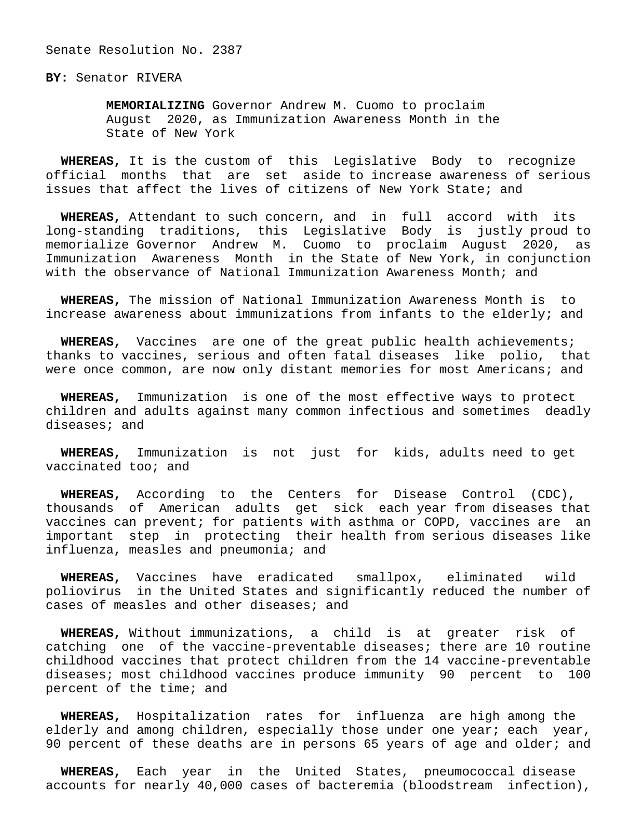Senate Resolution No. 2387

**BY:** Senator RIVERA

 **MEMORIALIZING** Governor Andrew M. Cuomo to proclaim August 2020, as Immunization Awareness Month in the State of New York

 **WHEREAS,** It is the custom of this Legislative Body to recognize official months that are set aside to increase awareness of serious issues that affect the lives of citizens of New York State; and

 **WHEREAS,** Attendant to such concern, and in full accord with its long-standing traditions, this Legislative Body is justly proud to memorialize Governor Andrew M. Cuomo to proclaim August 2020, as Immunization Awareness Month in the State of New York, in conjunction with the observance of National Immunization Awareness Month; and

 **WHEREAS,** The mission of National Immunization Awareness Month is to increase awareness about immunizations from infants to the elderly; and

 **WHEREAS,** Vaccines are one of the great public health achievements; thanks to vaccines, serious and often fatal diseases like polio, that were once common, are now only distant memories for most Americans; and

 **WHEREAS,** Immunization is one of the most effective ways to protect children and adults against many common infectious and sometimes deadly diseases; and

 **WHEREAS,** Immunization is not just for kids, adults need to get vaccinated too; and

 **WHEREAS,** According to the Centers for Disease Control (CDC), thousands of American adults get sick each year from diseases that vaccines can prevent; for patients with asthma or COPD, vaccines are an important step in protecting their health from serious diseases like influenza, measles and pneumonia; and

 **WHEREAS,** Vaccines have eradicated smallpox, eliminated wild poliovirus in the United States and significantly reduced the number of cases of measles and other diseases; and

 **WHEREAS,** Without immunizations, a child is at greater risk of catching one of the vaccine-preventable diseases; there are 10 routine childhood vaccines that protect children from the 14 vaccine-preventable diseases; most childhood vaccines produce immunity 90 percent to 100 percent of the time; and

 **WHEREAS,** Hospitalization rates for influenza are high among the elderly and among children, especially those under one year; each year, 90 percent of these deaths are in persons 65 years of age and older; and

 **WHEREAS,** Each year in the United States, pneumococcal disease accounts for nearly 40,000 cases of bacteremia (bloodstream infection),